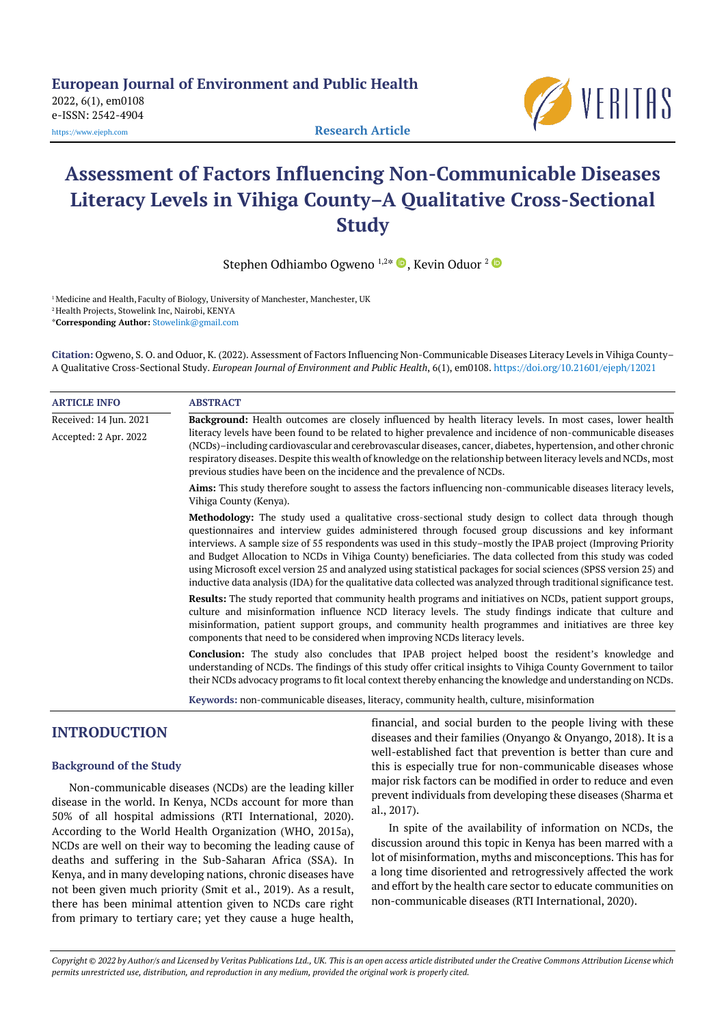**European Journal of Environment and Public Health**

2022, 6(1), em0108 e-ISSN: 2542-4904



[https://www.ejeph.com](https://www.ejeph.com/) **Research Article**

# **Assessment of Factors Influencing Non-Communicable Diseases Literacy Levels in Vihiga County–A Qualitative Cross-Sectional Study**

Stephen Odhiambo Ogweno 1,2\*  $\blacksquare$ , Kevin Oduor  $^2$ 

<sup>1</sup> Medicine and Health, Faculty of Biology, University of Manchester, Manchester, UK <sup>2</sup> Health Projects, Stowelink Inc, Nairobi, KENYA \***Corresponding Author:** [Stowelink@gmail.com](mailto:Stowelink@gmail.com)

**Citation:** Ogweno, S. O. and Oduor, K. (2022). Assessment of Factors Influencing Non-Communicable Diseases Literacy Levels in Vihiga County– A Qualitative Cross-Sectional Study. *European Journal of Environment and Public Health*, 6(1), em0108. <https://doi.org/10.21601/ejeph/12021>

| <b>ARTICLE INFO</b>    | <b>ABSTRACT</b>                                                                                                                                                                                                                                                                                                                                                                                                                                                                                                                                                                                                                                                                              |  |  |
|------------------------|----------------------------------------------------------------------------------------------------------------------------------------------------------------------------------------------------------------------------------------------------------------------------------------------------------------------------------------------------------------------------------------------------------------------------------------------------------------------------------------------------------------------------------------------------------------------------------------------------------------------------------------------------------------------------------------------|--|--|
| Received: 14 Jun. 2021 | Background: Health outcomes are closely influenced by health literacy levels. In most cases, lower health                                                                                                                                                                                                                                                                                                                                                                                                                                                                                                                                                                                    |  |  |
| Accepted: 2 Apr. 2022  | literacy levels have been found to be related to higher prevalence and incidence of non-communicable diseases<br>(NCDs)-including cardiovascular and cerebrovascular diseases, cancer, diabetes, hypertension, and other chronic<br>respiratory diseases. Despite this wealth of knowledge on the relationship between literacy levels and NCDs, most<br>previous studies have been on the incidence and the prevalence of NCDs.                                                                                                                                                                                                                                                             |  |  |
|                        | Aims: This study therefore sought to assess the factors influencing non-communicable diseases literacy levels,<br>Vihiga County (Kenya).                                                                                                                                                                                                                                                                                                                                                                                                                                                                                                                                                     |  |  |
|                        | Methodology: The study used a qualitative cross-sectional study design to collect data through though<br>questionnaires and interview guides administered through focused group discussions and key informant<br>interviews. A sample size of 55 respondents was used in this study-mostly the IPAB project (Improving Priority<br>and Budget Allocation to NCDs in Vihiga County) beneficiaries. The data collected from this study was coded<br>using Microsoft excel version 25 and analyzed using statistical packages for social sciences (SPSS version 25) and<br>inductive data analysis (IDA) for the qualitative data collected was analyzed through traditional significance test. |  |  |
|                        | <b>Results:</b> The study reported that community health programs and initiatives on NCDs, patient support groups,<br>culture and misinformation influence NCD literacy levels. The study findings indicate that culture and<br>misinformation, patient support groups, and community health programmes and initiatives are three key<br>components that need to be considered when improving NCDs literacy levels.                                                                                                                                                                                                                                                                          |  |  |
|                        | <b>Conclusion:</b> The study also concludes that IPAB project helped boost the resident's knowledge and<br>understanding of NCDs. The findings of this study offer critical insights to Vihiga County Government to tailor<br>their NCDs advocacy programs to fit local context thereby enhancing the knowledge and understanding on NCDs.                                                                                                                                                                                                                                                                                                                                                   |  |  |
|                        | Keywords: non-communicable diseases, literacy, community health, culture, misinformation                                                                                                                                                                                                                                                                                                                                                                                                                                                                                                                                                                                                     |  |  |

# **INTRODUCTION**

# **Background of the Study**

Non-communicable diseases (NCDs) are the leading killer disease in the world. In Kenya, NCDs account for more than 50% of all hospital admissions (RTI International, 2020). According to the World Health Organization (WHO, 2015a), NCDs are well on their way to becoming the leading cause of deaths and suffering in the Sub-Saharan Africa (SSA). In Kenya, and in many developing nations, chronic diseases have not been given much priority (Smit et al., 2019). As a result, there has been minimal attention given to NCDs care right from primary to tertiary care; yet they cause a huge health, financial, and social burden to the people living with these diseases and their families (Onyango & Onyango, 2018). It is a well-established fact that prevention is better than cure and this is especially true for non-communicable diseases whose major risk factors can be modified in order to reduce and even prevent individuals from developing these diseases (Sharma et al., 2017).

In spite of the availability of information on NCDs, the discussion around this topic in Kenya has been marred with a lot of misinformation, myths and misconceptions. This has for a long time disoriented and retrogressively affected the work and effort by the health care sector to educate communities on non-communicable diseases (RTI International, 2020).

*Copyright © 2022 by Author/s and Licensed by Veritas Publications Ltd., UK. This is an open access article distributed under the Creative Commons Attribution License which permits unrestricted use, distribution, and reproduction in any medium, provided the original work is properly cited.*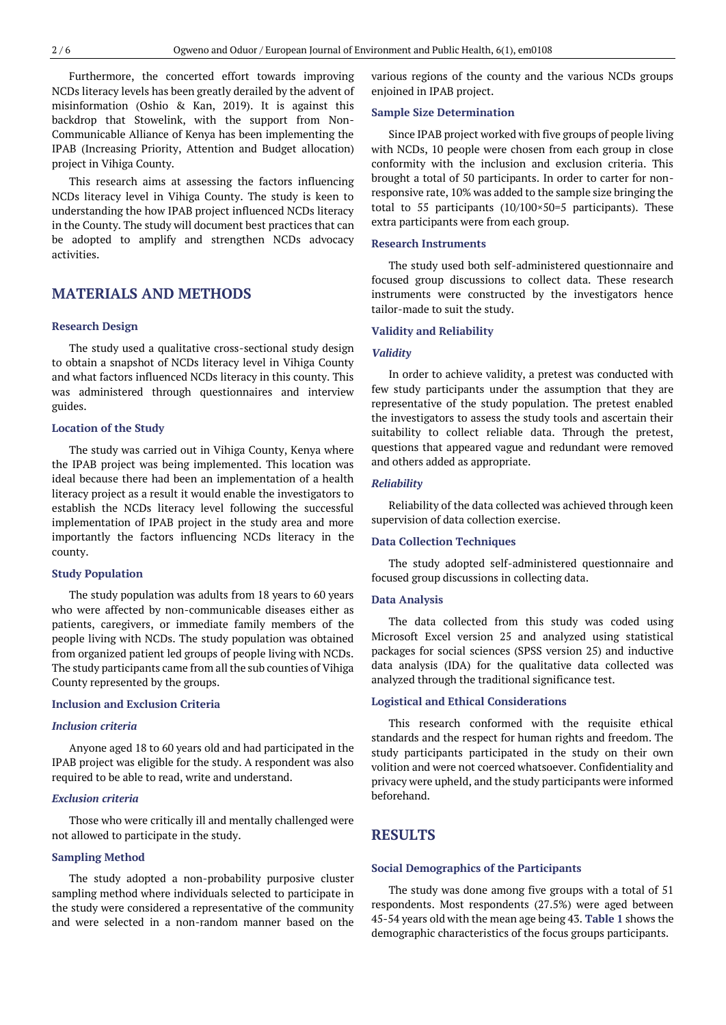Furthermore, the concerted effort towards improving NCDs literacy levels has been greatly derailed by the advent of misinformation (Oshio & Kan, 2019). It is against this backdrop that Stowelink, with the support from Non-Communicable Alliance of Kenya has been implementing the IPAB (Increasing Priority, Attention and Budget allocation) project in Vihiga County.

This research aims at assessing the factors influencing NCDs literacy level in Vihiga County. The study is keen to understanding the how IPAB project influenced NCDs literacy in the County. The study will document best practices that can be adopted to amplify and strengthen NCDs advocacy activities.

# **MATERIALS AND METHODS**

# **Research Design**

The study used a qualitative cross-sectional study design to obtain a snapshot of NCDs literacy level in Vihiga County and what factors influenced NCDs literacy in this county. This was administered through questionnaires and interview guides.

# **Location of the Study**

The study was carried out in Vihiga County, Kenya where the IPAB project was being implemented. This location was ideal because there had been an implementation of a health literacy project as a result it would enable the investigators to establish the NCDs literacy level following the successful implementation of IPAB project in the study area and more importantly the factors influencing NCDs literacy in the county.

# **Study Population**

The study population was adults from 18 years to 60 years who were affected by non-communicable diseases either as patients, caregivers, or immediate family members of the people living with NCDs. The study population was obtained from organized patient led groups of people living with NCDs. The study participants came from all the sub counties of Vihiga County represented by the groups.

# **Inclusion and Exclusion Criteria**

# *Inclusion criteria*

Anyone aged 18 to 60 years old and had participated in the IPAB project was eligible for the study. A respondent was also required to be able to read, write and understand.

# *Exclusion criteria*

Those who were critically ill and mentally challenged were not allowed to participate in the study.

# **Sampling Method**

The study adopted a non-probability purposive cluster sampling method where individuals selected to participate in the study were considered a representative of the community and were selected in a non-random manner based on the

various regions of the county and the various NCDs groups enjoined in IPAB project.

# **Sample Size Determination**

Since IPAB project worked with five groups of people living with NCDs, 10 people were chosen from each group in close conformity with the inclusion and exclusion criteria. This brought a total of 50 participants. In order to carter for nonresponsive rate, 10% was added to the sample size bringing the total to 55 participants  $(10/100 \times 50=5$  participants). These extra participants were from each group.

#### **Research Instruments**

The study used both self-administered questionnaire and focused group discussions to collect data. These research instruments were constructed by the investigators hence tailor-made to suit the study.

### **Validity and Reliability**

#### *Validity*

In order to achieve validity, a pretest was conducted with few study participants under the assumption that they are representative of the study population. The pretest enabled the investigators to assess the study tools and ascertain their suitability to collect reliable data. Through the pretest, questions that appeared vague and redundant were removed and others added as appropriate.

#### *Reliability*

Reliability of the data collected was achieved through keen supervision of data collection exercise.

# **Data Collection Techniques**

The study adopted self-administered questionnaire and focused group discussions in collecting data.

#### **Data Analysis**

The data collected from this study was coded using Microsoft Excel version 25 and analyzed using statistical packages for social sciences (SPSS version 25) and inductive data analysis (IDA) for the qualitative data collected was analyzed through the traditional significance test.

#### **Logistical and Ethical Considerations**

This research conformed with the requisite ethical standards and the respect for human rights and freedom. The study participants participated in the study on their own volition and were not coerced whatsoever. Confidentiality and privacy were upheld, and the study participants were informed beforehand.

# **RESULTS**

# **Social Demographics of the Participants**

The study was done among five groups with a total of 51 respondents. Most respondents (27.5%) were aged between 45-54 years old with the mean age being 43. **Table 1** shows the demographic characteristics of the focus groups participants.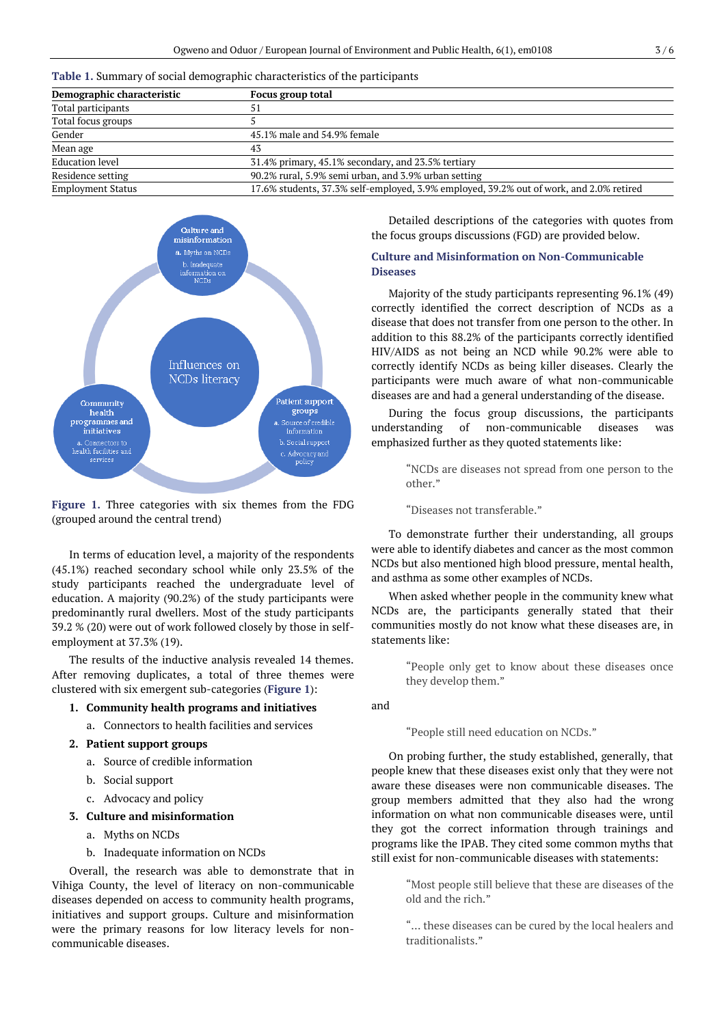|  |  |  |  |  |  | Table 1. Summary of social demographic characteristics of the participants |
|--|--|--|--|--|--|----------------------------------------------------------------------------|
|--|--|--|--|--|--|----------------------------------------------------------------------------|

| Demographic characteristic | Focus group total                                                                       |  |  |
|----------------------------|-----------------------------------------------------------------------------------------|--|--|
| Total participants         | 51                                                                                      |  |  |
| Total focus groups         |                                                                                         |  |  |
| Gender                     | 45.1% male and 54.9% female                                                             |  |  |
| Mean age                   | 43                                                                                      |  |  |
| <b>Education level</b>     | 31.4% primary, 45.1% secondary, and 23.5% tertiary                                      |  |  |
| Residence setting          | 90.2% rural, 5.9% semi urban, and 3.9% urban setting                                    |  |  |
| <b>Employment Status</b>   | 17.6% students, 37.3% self-employed, 3.9% employed, 39.2% out of work, and 2.0% retired |  |  |



**Figure 1.** Three categories with six themes from the FDG (grouped around the central trend)

In terms of education level, a majority of the respondents (45.1%) reached secondary school while only 23.5% of the study participants reached the undergraduate level of education. A majority (90.2%) of the study participants were predominantly rural dwellers. Most of the study participants 39.2 % (20) were out of work followed closely by those in selfemployment at 37.3% (19).

The results of the inductive analysis revealed 14 themes. After removing duplicates, a total of three themes were clustered with six emergent sub-categories (**Figure 1**):

# **1. Community health programs and initiatives**

a. Connectors to health facilities and services

# **2. Patient support groups**

- a. Source of credible information
- b. Social support
- c. Advocacy and policy

# **3. Culture and misinformation**

- a. Myths on NCDs
- b. Inadequate information on NCDs

Overall, the research was able to demonstrate that in Vihiga County, the level of literacy on non-communicable diseases depended on access to community health programs, initiatives and support groups. Culture and misinformation were the primary reasons for low literacy levels for noncommunicable diseases.

Detailed descriptions of the categories with quotes from the focus groups discussions (FGD) are provided below.

# **Culture and Misinformation on Non-Communicable Diseases**

Majority of the study participants representing 96.1% (49) correctly identified the correct description of NCDs as a disease that does not transfer from one person to the other. In addition to this 88.2% of the participants correctly identified HIV/AIDS as not being an NCD while 90.2% were able to correctly identify NCDs as being killer diseases. Clearly the participants were much aware of what non-communicable diseases are and had a general understanding of the disease.

During the focus group discussions, the participants understanding of non-communicable diseases was emphasized further as they quoted statements like:

> "NCDs are diseases not spread from one person to the other."

"Diseases not transferable."

To demonstrate further their understanding, all groups were able to identify diabetes and cancer as the most common NCDs but also mentioned high blood pressure, mental health, and asthma as some other examples of NCDs.

When asked whether people in the community knew what NCDs are, the participants generally stated that their communities mostly do not know what these diseases are, in statements like:

> "People only get to know about these diseases once they develop them."

and

"People still need education on NCDs."

On probing further, the study established, generally, that people knew that these diseases exist only that they were not aware these diseases were non communicable diseases. The group members admitted that they also had the wrong information on what non communicable diseases were, until they got the correct information through trainings and programs like the IPAB. They cited some common myths that still exist for non-communicable diseases with statements:

> "Most people still believe that these are diseases of the old and the rich."

> "… these diseases can be cured by the local healers and traditionalists."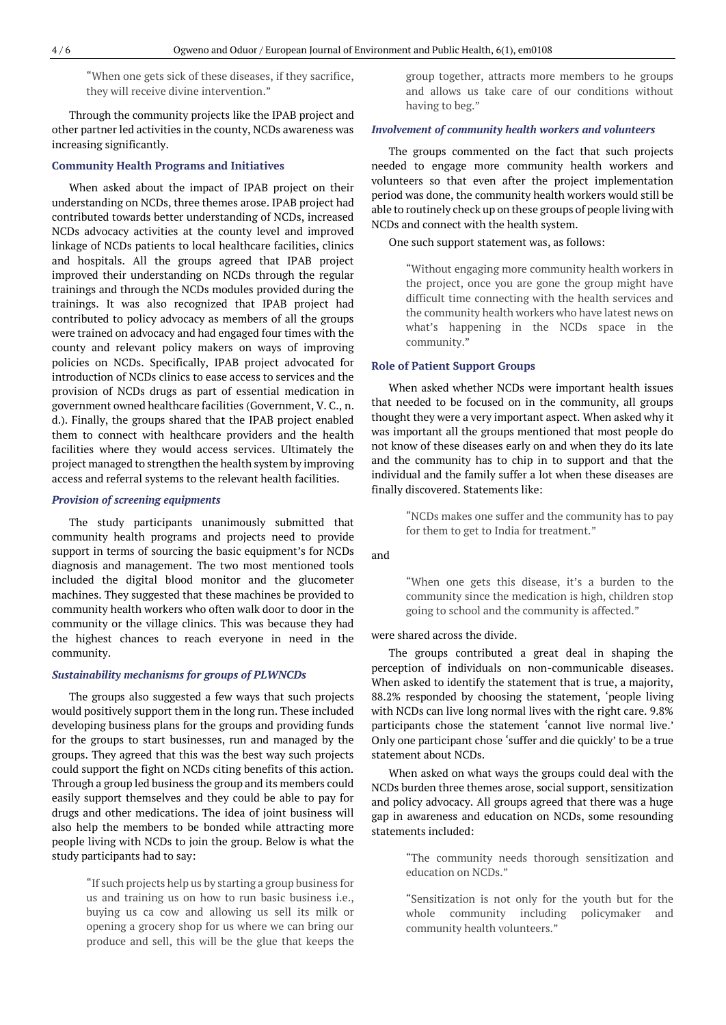"When one gets sick of these diseases, if they sacrifice, they will receive divine intervention."

Through the community projects like the IPAB project and other partner led activities in the county, NCDs awareness was increasing significantly.

#### **Community Health Programs and Initiatives**

When asked about the impact of IPAB project on their understanding on NCDs, three themes arose. IPAB project had contributed towards better understanding of NCDs, increased NCDs advocacy activities at the county level and improved linkage of NCDs patients to local healthcare facilities, clinics and hospitals. All the groups agreed that IPAB project improved their understanding on NCDs through the regular trainings and through the NCDs modules provided during the trainings. It was also recognized that IPAB project had contributed to policy advocacy as members of all the groups were trained on advocacy and had engaged four times with the county and relevant policy makers on ways of improving policies on NCDs. Specifically, IPAB project advocated for introduction of NCDs clinics to ease access to services and the provision of NCDs drugs as part of essential medication in government owned healthcare facilities (Government, V. C., n. d.). Finally, the groups shared that the IPAB project enabled them to connect with healthcare providers and the health facilities where they would access services. Ultimately the project managed to strengthen the health system by improving access and referral systems to the relevant health facilities.

# *Provision of screening equipments*

The study participants unanimously submitted that community health programs and projects need to provide support in terms of sourcing the basic equipment's for NCDs diagnosis and management. The two most mentioned tools included the digital blood monitor and the glucometer machines. They suggested that these machines be provided to community health workers who often walk door to door in the community or the village clinics. This was because they had the highest chances to reach everyone in need in the community.

## *Sustainability mechanisms for groups of PLWNCDs*

The groups also suggested a few ways that such projects would positively support them in the long run. These included developing business plans for the groups and providing funds for the groups to start businesses, run and managed by the groups. They agreed that this was the best way such projects could support the fight on NCDs citing benefits of this action. Through a group led business the group and its members could easily support themselves and they could be able to pay for drugs and other medications. The idea of joint business will also help the members to be bonded while attracting more people living with NCDs to join the group. Below is what the study participants had to say:

> "If such projects help us by starting a group business for us and training us on how to run basic business i.e., buying us ca cow and allowing us sell its milk or opening a grocery shop for us where we can bring our produce and sell, this will be the glue that keeps the

group together, attracts more members to he groups and allows us take care of our conditions without having to beg."

### *Involvement of community health workers and volunteers*

The groups commented on the fact that such projects needed to engage more community health workers and volunteers so that even after the project implementation period was done, the community health workers would still be able to routinely check up on these groups of people living with NCDs and connect with the health system.

One such support statement was, as follows:

"Without engaging more community health workers in the project, once you are gone the group might have difficult time connecting with the health services and the community health workers who have latest news on what's happening in the NCDs space in the community."

# **Role of Patient Support Groups**

When asked whether NCDs were important health issues that needed to be focused on in the community, all groups thought they were a very important aspect. When asked why it was important all the groups mentioned that most people do not know of these diseases early on and when they do its late and the community has to chip in to support and that the individual and the family suffer a lot when these diseases are finally discovered. Statements like:

> "NCDs makes one suffer and the community has to pay for them to get to India for treatment."

and

"When one gets this disease, it's a burden to the community since the medication is high, children stop going to school and the community is affected."

#### were shared across the divide.

The groups contributed a great deal in shaping the perception of individuals on non-communicable diseases. When asked to identify the statement that is true, a majority, 88.2% responded by choosing the statement, 'people living with NCDs can live long normal lives with the right care. 9.8% participants chose the statement 'cannot live normal live.' Only one participant chose 'suffer and die quickly' to be a true statement about NCDs.

When asked on what ways the groups could deal with the NCDs burden three themes arose, social support, sensitization and policy advocacy. All groups agreed that there was a huge gap in awareness and education on NCDs, some resounding statements included:

> "The community needs thorough sensitization and education on NCDs."

> "Sensitization is not only for the youth but for the whole community including policymaker and community health volunteers."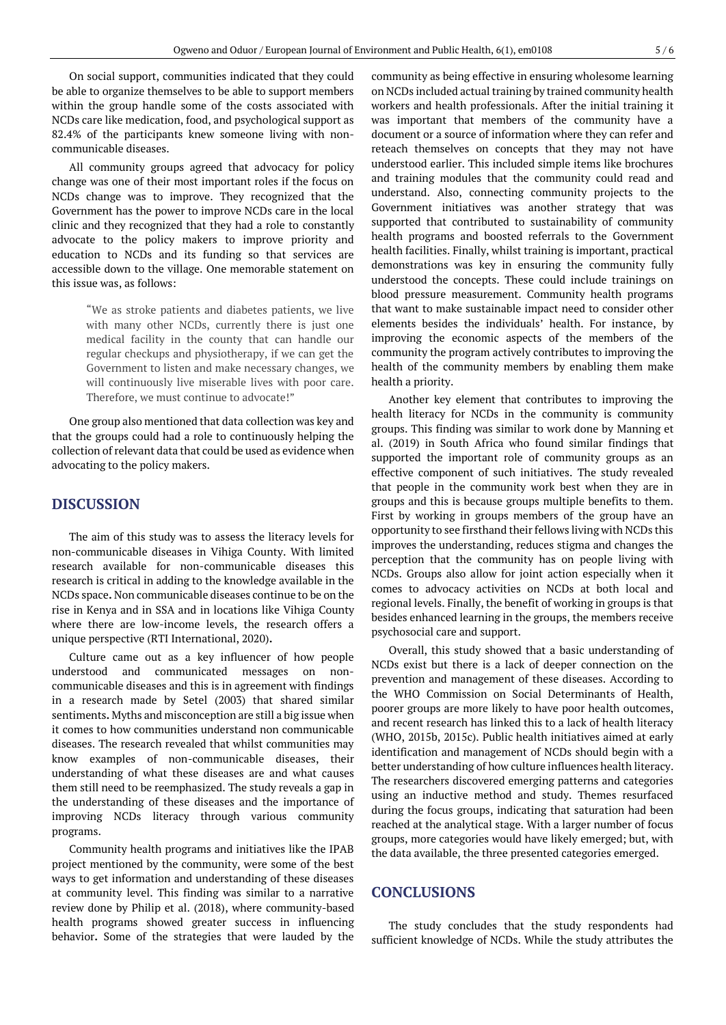On social support, communities indicated that they could be able to organize themselves to be able to support members within the group handle some of the costs associated with NCDs care like medication, food, and psychological support as 82.4% of the participants knew someone living with noncommunicable diseases.

All community groups agreed that advocacy for policy change was one of their most important roles if the focus on NCDs change was to improve. They recognized that the Government has the power to improve NCDs care in the local clinic and they recognized that they had a role to constantly advocate to the policy makers to improve priority and education to NCDs and its funding so that services are accessible down to the village. One memorable statement on this issue was, as follows:

> "We as stroke patients and diabetes patients, we live with many other NCDs, currently there is just one medical facility in the county that can handle our regular checkups and physiotherapy, if we can get the Government to listen and make necessary changes, we will continuously live miserable lives with poor care. Therefore, we must continue to advocate!"

One group also mentioned that data collection was key and that the groups could had a role to continuously helping the collection of relevant data that could be used as evidence when advocating to the policy makers.

# **DISCUSSION**

The aim of this study was to assess the literacy levels for non-communicable diseases in Vihiga County. With limited research available for non-communicable diseases this research is critical in adding to the knowledge available in the NCDs space**.** Non communicable diseases continue to be on the rise in Kenya and in SSA and in locations like Vihiga County where there are low-income levels, the research offers a unique perspective (RTI International, 2020)**.**

Culture came out as a key influencer of how people understood and communicated messages on noncommunicable diseases and this is in agreement with findings in a research made by Setel (2003) that shared similar sentiments**.** Myths and misconception are still a big issue when it comes to how communities understand non communicable diseases. The research revealed that whilst communities may know examples of non-communicable diseases, their understanding of what these diseases are and what causes them still need to be reemphasized. The study reveals a gap in the understanding of these diseases and the importance of improving NCDs literacy through various community programs.

Community health programs and initiatives like the IPAB project mentioned by the community, were some of the best ways to get information and understanding of these diseases at community level. This finding was similar to a narrative review done by Philip et al. (2018), where community-based health programs showed greater success in influencing behavior**.** Some of the strategies that were lauded by the community as being effective in ensuring wholesome learning on NCDs included actual training by trained community health workers and health professionals. After the initial training it was important that members of the community have a document or a source of information where they can refer and reteach themselves on concepts that they may not have understood earlier. This included simple items like brochures and training modules that the community could read and understand. Also, connecting community projects to the Government initiatives was another strategy that was supported that contributed to sustainability of community health programs and boosted referrals to the Government health facilities. Finally, whilst training is important, practical demonstrations was key in ensuring the community fully understood the concepts. These could include trainings on blood pressure measurement. Community health programs that want to make sustainable impact need to consider other elements besides the individuals' health. For instance, by improving the economic aspects of the members of the community the program actively contributes to improving the health of the community members by enabling them make health a priority.

Another key element that contributes to improving the health literacy for NCDs in the community is community groups. This finding was similar to work done by Manning et al. (2019) in South Africa who found similar findings that supported the important role of community groups as an effective component of such initiatives. The study revealed that people in the community work best when they are in groups and this is because groups multiple benefits to them. First by working in groups members of the group have an opportunity to see firsthand their fellows living with NCDs this improves the understanding, reduces stigma and changes the perception that the community has on people living with NCDs. Groups also allow for joint action especially when it comes to advocacy activities on NCDs at both local and regional levels. Finally, the benefit of working in groups is that besides enhanced learning in the groups, the members receive psychosocial care and support.

Overall, this study showed that a basic understanding of NCDs exist but there is a lack of deeper connection on the prevention and management of these diseases. According to the WHO Commission on Social Determinants of Health, poorer groups are more likely to have poor health outcomes, and recent research has linked this to a lack of health literacy (WHO, 2015b, 2015c). Public health initiatives aimed at early identification and management of NCDs should begin with a better understanding of how culture influences health literacy. The researchers discovered emerging patterns and categories using an inductive method and study. Themes resurfaced during the focus groups, indicating that saturation had been reached at the analytical stage. With a larger number of focus groups, more categories would have likely emerged; but, with the data available, the three presented categories emerged.

# **CONCLUSIONS**

The study concludes that the study respondents had sufficient knowledge of NCDs. While the study attributes the